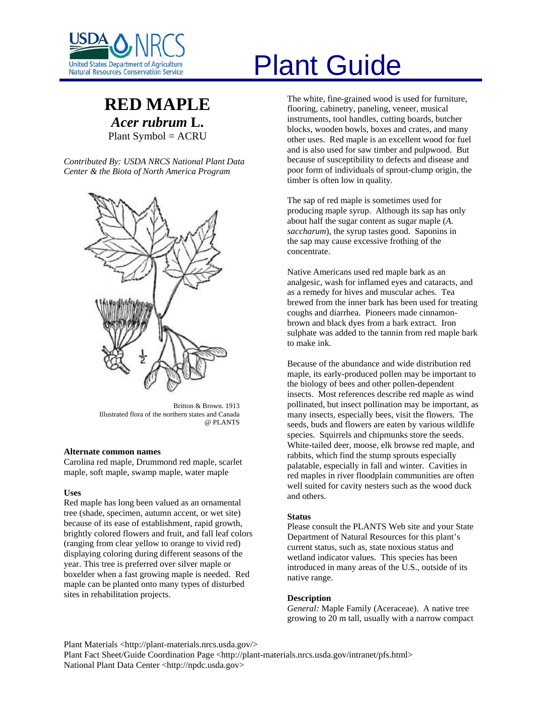

# **RED MAPLE** *Acer rubrum* **L.** Plant Symbol = ACRU

*Contributed By: USDA NRCS National Plant Data Center & the Biota of North America Program* 



Britton & Brown. 1913 Illustrated flora of the northern states and Canada @ PLANTS

# **Alternate common names**

Carolina red maple, Drummond red maple, scarlet maple, soft maple, swamp maple, water maple

# **Uses**

Red maple has long been valued as an ornamental tree (shade, specimen, autumn accent, or wet site) because of its ease of establishment, rapid growth, brightly colored flowers and fruit, and fall leaf colors (ranging from clear yellow to orange to vivid red) displaying coloring during different seasons of the year. This tree is preferred over silver maple or boxelder when a fast growing maple is needed. Red maple can be planted onto many types of disturbed sites in rehabilitation projects.

# Plant Guide

The white, fine-grained wood is used for furniture, flooring, cabinetry, paneling, veneer, musical instruments, tool handles, cutting boards, butcher blocks, wooden bowls, boxes and crates, and many other uses. Red maple is an excellent wood for fuel and is also used for saw timber and pulpwood. But because of susceptibility to defects and disease and poor form of individuals of sprout-clump origin, the timber is often low in quality.

The sap of red maple is sometimes used for producing maple syrup. Although its sap has only about half the sugar content as sugar maple (*A. saccharum*), the syrup tastes good. Saponins in the sap may cause excessive frothing of the concentrate.

Native Americans used red maple bark as an analgesic, wash for inflamed eyes and cataracts, and as a remedy for hives and muscular aches. Tea brewed from the inner bark has been used for treating coughs and diarrhea. Pioneers made cinnamonbrown and black dyes from a bark extract. Iron sulphate was added to the tannin from red maple bark to make ink.

Because of the abundance and wide distribution red maple, its early-produced pollen may be important to the biology of bees and other pollen-dependent insects. Most references describe red maple as wind pollinated, but insect pollination may be important, as many insects, especially bees, visit the flowers. The seeds, buds and flowers are eaten by various wildlife species. Squirrels and chipmunks store the seeds. White-tailed deer, moose, elk browse red maple, and rabbits, which find the stump sprouts especially palatable, especially in fall and winter. Cavities in red maples in river floodplain communities are often well suited for cavity nesters such as the wood duck and others.

# **Status**

Please consult the PLANTS Web site and your State Department of Natural Resources for this plant's current status, such as, state noxious status and wetland indicator values. This species has been introduced in many areas of the U.S., outside of its native range.

#### **Description**

*General:* Maple Family (Aceraceae). A native tree growing to 20 m tall, usually with a narrow compact

Plant Materials <http://plant-materials.nrcs.usda.gov/>

Plant Fact Sheet/Guide Coordination Page <http://plant-materials.nrcs.usda.gov/intranet/pfs.html> National Plant Data Center <http://npdc.usda.gov>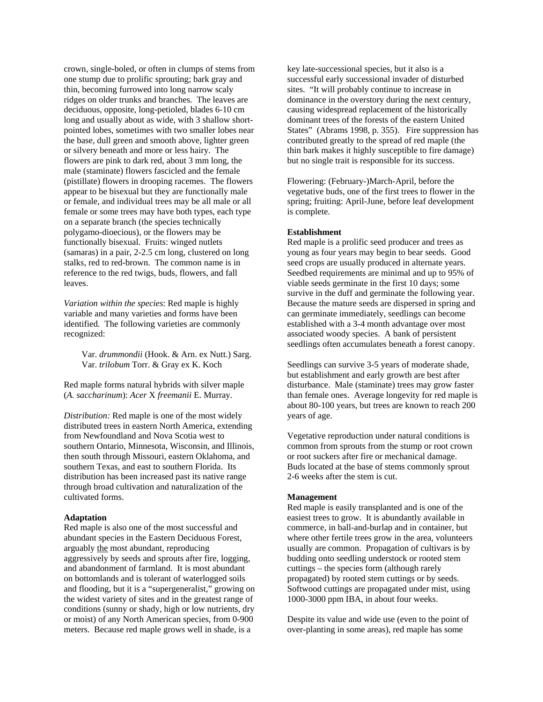crown, single-boled, or often in clumps of stems from one stump due to prolific sprouting; bark gray and thin, becoming furrowed into long narrow scaly ridges on older trunks and branches. The leaves are deciduous, opposite, long-petioled, blades 6-10 cm long and usually about as wide, with 3 shallow shortpointed lobes, sometimes with two smaller lobes near the base, dull green and smooth above, lighter green or silvery beneath and more or less hairy. The flowers are pink to dark red, about 3 mm long, the male (staminate) flowers fascicled and the female (pistillate) flowers in drooping racemes. The flowers appear to be bisexual but they are functionally male or female, and individual trees may be all male or all female or some trees may have both types, each type on a separate branch (the species technically polygamo-dioecious), or the flowers may be functionally bisexual. Fruits: winged nutlets (samaras) in a pair, 2-2.5 cm long, clustered on long stalks, red to red-brown. The common name is in reference to the red twigs, buds, flowers, and fall leaves.

*Variation within the species*: Red maple is highly variable and many varieties and forms have been identified. The following varieties are commonly recognized:

 Var. *drummondii* (Hook. & Arn. ex Nutt.) Sarg. Var. *trilobum* Torr. & Gray ex K. Koch

Red maple forms natural hybrids with silver maple (*A. saccharinum*): *Acer* X *freemanii* E. Murray.

*Distribution:* Red maple is one of the most widely distributed trees in eastern North America, extending from Newfoundland and Nova Scotia west to southern Ontario, Minnesota, Wisconsin, and Illinois, then south through Missouri, eastern Oklahoma, and southern Texas, and east to southern Florida. Its distribution has been increased past its native range through broad cultivation and naturalization of the cultivated forms.

# **Adaptation**

Red maple is also one of the most successful and abundant species in the Eastern Deciduous Forest, arguably the most abundant, reproducing aggressively by seeds and sprouts after fire, logging, and abandonment of farmland. It is most abundant on bottomlands and is tolerant of waterlogged soils and flooding, but it is a "supergeneralist," growing on the widest variety of sites and in the greatest range of conditions (sunny or shady, high or low nutrients, dry or moist) of any North American species, from 0-900 meters. Because red maple grows well in shade, is a

key late-successional species, but it also is a successful early successional invader of disturbed sites. "It will probably continue to increase in dominance in the overstory during the next century, causing widespread replacement of the historically dominant trees of the forests of the eastern United States" (Abrams 1998, p. 355). Fire suppression has contributed greatly to the spread of red maple (the thin bark makes it highly susceptible to fire damage) but no single trait is responsible for its success.

Flowering: (February-)March-April, before the vegetative buds, one of the first trees to flower in the spring; fruiting: April-June, before leaf development is complete.

# **Establishment**

Red maple is a prolific seed producer and trees as young as four years may begin to bear seeds. Good seed crops are usually produced in alternate years. Seedbed requirements are minimal and up to 95% of viable seeds germinate in the first 10 days; some survive in the duff and germinate the following year. Because the mature seeds are dispersed in spring and can germinate immediately, seedlings can become established with a 3-4 month advantage over most associated woody species. A bank of persistent seedlings often accumulates beneath a forest canopy.

Seedlings can survive 3-5 years of moderate shade, but establishment and early growth are best after disturbance. Male (staminate) trees may grow faster than female ones. Average longevity for red maple is about 80-100 years, but trees are known to reach 200 years of age.

Vegetative reproduction under natural conditions is common from sprouts from the stump or root crown or root suckers after fire or mechanical damage. Buds located at the base of stems commonly sprout 2-6 weeks after the stem is cut.

# **Management**

Red maple is easily transplanted and is one of the easiest trees to grow. It is abundantly available in commerce, in ball-and-burlap and in container, but where other fertile trees grow in the area, volunteers usually are common. Propagation of cultivars is by budding onto seedling understock or rooted stem cuttings – the species form (although rarely propagated) by rooted stem cuttings or by seeds. Softwood cuttings are propagated under mist, using 1000-3000 ppm IBA, in about four weeks.

Despite its value and wide use (even to the point of over-planting in some areas), red maple has some